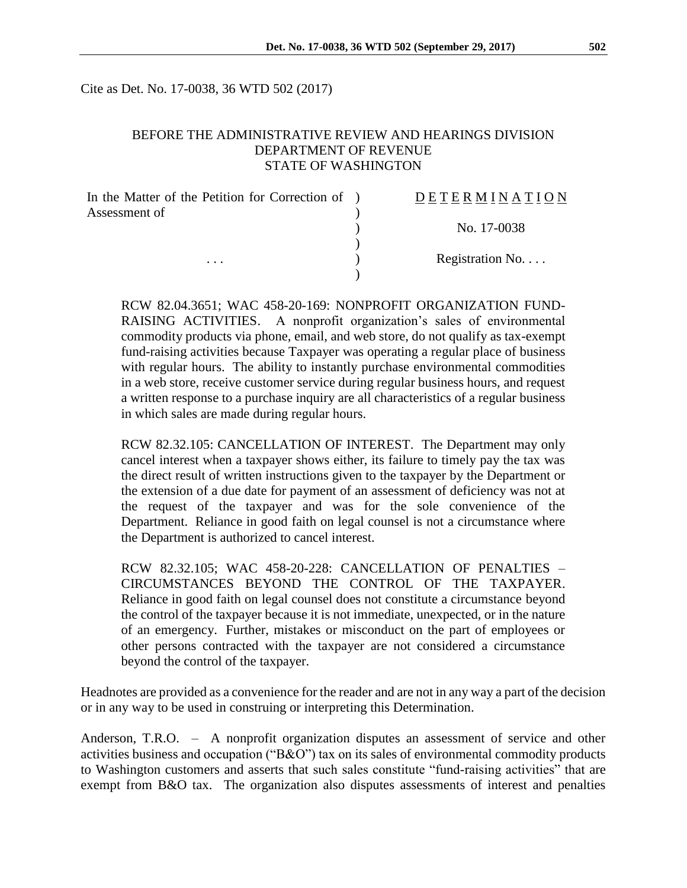Cite as Det. No. 17-0038, 36 WTD 502 (2017)

#### BEFORE THE ADMINISTRATIVE REVIEW AND HEARINGS DIVISION DEPARTMENT OF REVENUE STATE OF WASHINGTON

| In the Matter of the Petition for Correction of ) | <b>DETERMINATION</b> |
|---------------------------------------------------|----------------------|
| Assessment of<br>$\cdots$                         |                      |
|                                                   | No. 17-0038          |
|                                                   | Registration No      |
|                                                   |                      |

RCW 82.04.3651; WAC 458-20-169: NONPROFIT ORGANIZATION FUND-RAISING ACTIVITIES. A nonprofit organization's sales of environmental commodity products via phone, email, and web store, do not qualify as tax-exempt fund-raising activities because Taxpayer was operating a regular place of business with regular hours. The ability to instantly purchase environmental commodities in a web store, receive customer service during regular business hours, and request a written response to a purchase inquiry are all characteristics of a regular business in which sales are made during regular hours.

RCW 82.32.105: CANCELLATION OF INTEREST. The Department may only cancel interest when a taxpayer shows either, its failure to timely pay the tax was the direct result of written instructions given to the taxpayer by the Department or the extension of a due date for payment of an assessment of deficiency was not at the request of the taxpayer and was for the sole convenience of the Department. Reliance in good faith on legal counsel is not a circumstance where the Department is authorized to cancel interest.

RCW 82.32.105; WAC 458-20-228: CANCELLATION OF PENALTIES – CIRCUMSTANCES BEYOND THE CONTROL OF THE TAXPAYER. Reliance in good faith on legal counsel does not constitute a circumstance beyond the control of the taxpayer because it is not immediate, unexpected, or in the nature of an emergency. Further, mistakes or misconduct on the part of employees or other persons contracted with the taxpayer are not considered a circumstance beyond the control of the taxpayer.

Headnotes are provided as a convenience for the reader and are not in any way a part of the decision or in any way to be used in construing or interpreting this Determination.

Anderson, T.R.O. – A nonprofit organization disputes an assessment of service and other activities business and occupation ("B&O") tax on its sales of environmental commodity products to Washington customers and asserts that such sales constitute "fund-raising activities" that are exempt from B&O tax. The organization also disputes assessments of interest and penalties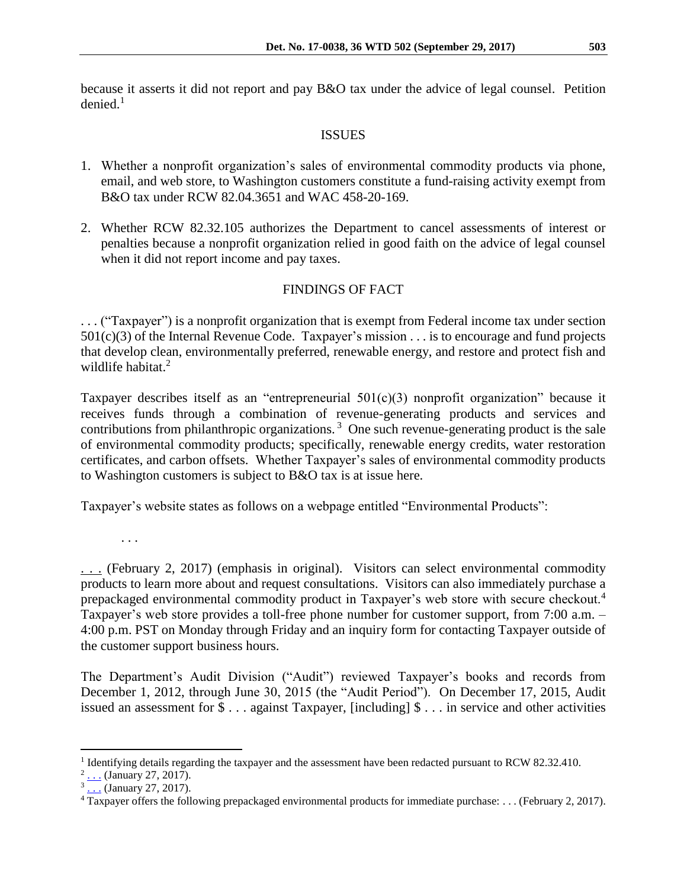because it asserts it did not report and pay B&O tax under the advice of legal counsel. Petition  $denied.<sup>1</sup>$ 

### ISSUES

- 1. Whether a nonprofit organization's sales of environmental commodity products via phone, email, and web store, to Washington customers constitute a fund-raising activity exempt from B&O tax under RCW 82.04.3651 and WAC 458-20-169.
- 2. Whether RCW 82.32.105 authorizes the Department to cancel assessments of interest or penalties because a nonprofit organization relied in good faith on the advice of legal counsel when it did not report income and pay taxes.

# FINDINGS OF FACT

. . . ("Taxpayer") is a nonprofit organization that is exempt from Federal income tax under section  $501(c)(3)$  of the Internal Revenue Code. Taxpayer's mission . . . is to encourage and fund projects that develop clean, environmentally preferred, renewable energy, and restore and protect fish and wildlife habitat.<sup>2</sup>

Taxpayer describes itself as an "entrepreneurial 501(c)(3) nonprofit organization" because it receives funds through a combination of revenue-generating products and services and contributions from philanthropic organizations.<sup>3</sup> One such revenue-generating product is the sale of environmental commodity products; specifically, renewable energy credits, water restoration certificates, and carbon offsets. Whether Taxpayer's sales of environmental commodity products to Washington customers is subject to B&O tax is at issue here.

Taxpayer's website states as follows on a webpage entitled "Environmental Products":

. . .

[.](http://www.b-e-f.org/environmental-products/).. (February 2, 2017) (emphasis in original). Visitors can select environmental commodity products to learn more about and request consultations. Visitors can also immediately purchase a prepackaged environmental commodity product in Taxpayer's web store with secure checkout.<sup>4</sup> Taxpayer's web store provides a toll-free phone number for customer support, from 7:00 a.m. – 4:00 p.m. PST on Monday through Friday and an inquiry form for contacting Taxpayer outside of the customer support business hours.

The Department's Audit Division ("Audit") reviewed Taxpayer's books and records from December 1, 2012, through June 30, 2015 (the "Audit Period"). On December 17, 2015, Audit issued an assessment for \$ . . . against Taxpayer, [including] \$ . . . in service and other activities

 $\overline{a}$ 

<sup>&</sup>lt;sup>1</sup> Identifying details regarding the taxpayer and the assessment have been redacted pursuant to RCW 82.32.410.

 $2 \dots$  (January 27, 2017)[.](https://www.guidestar.org/profile/93-1248274)

<sup>&</sup>lt;sup>3</sup> [.](http://www.b-e-f.org/why-bef/how-we-are-funded/).. (January 27, 2017).

<sup>4</sup> Taxpayer offers the following prepackaged environmental products for immediate purchase: . . . (February 2, 2017).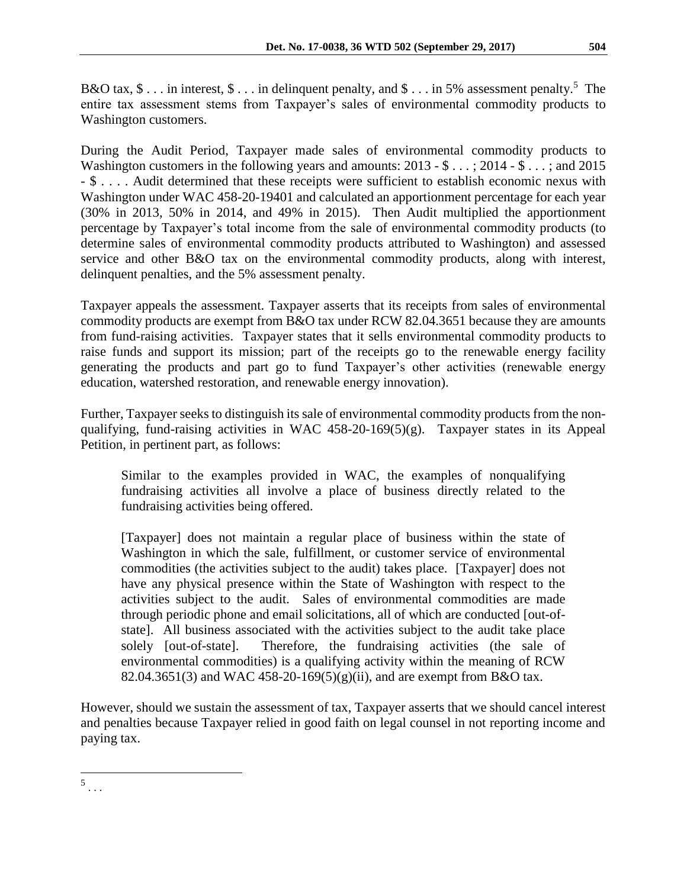B&O tax,  $\$\dots$  in interest,  $\$\dots$  in delinquent penalty, and  $\$\dots$  in 5% assessment penalty.<sup>5</sup> The entire tax assessment stems from Taxpayer's sales of environmental commodity products to Washington customers.

During the Audit Period, Taxpayer made sales of environmental commodity products to Washington customers in the following years and amounts: 2013 - \$ . . . ; 2014 - \$ . . . ; and 2015 - \$ . . . . Audit determined that these receipts were sufficient to establish economic nexus with Washington under WAC 458-20-19401 and calculated an apportionment percentage for each year (30% in 2013, 50% in 2014, and 49% in 2015). Then Audit multiplied the apportionment percentage by Taxpayer's total income from the sale of environmental commodity products (to determine sales of environmental commodity products attributed to Washington) and assessed service and other B&O tax on the environmental commodity products, along with interest, delinquent penalties, and the 5% assessment penalty.

Taxpayer appeals the assessment. Taxpayer asserts that its receipts from sales of environmental commodity products are exempt from B&O tax under RCW 82.04.3651 because they are amounts from fund-raising activities. Taxpayer states that it sells environmental commodity products to raise funds and support its mission; part of the receipts go to the renewable energy facility generating the products and part go to fund Taxpayer's other activities (renewable energy education, watershed restoration, and renewable energy innovation).

Further, Taxpayer seeks to distinguish its sale of environmental commodity products from the nonqualifying, fund-raising activities in WAC 458-20-169(5)(g). Taxpayer states in its Appeal Petition, in pertinent part, as follows:

Similar to the examples provided in WAC, the examples of nonqualifying fundraising activities all involve a place of business directly related to the fundraising activities being offered.

[Taxpayer] does not maintain a regular place of business within the state of Washington in which the sale, fulfillment, or customer service of environmental commodities (the activities subject to the audit) takes place. [Taxpayer] does not have any physical presence within the State of Washington with respect to the activities subject to the audit. Sales of environmental commodities are made through periodic phone and email solicitations, all of which are conducted [out-ofstate]. All business associated with the activities subject to the audit take place solely [out-of-state]. Therefore, the fundraising activities (the sale of environmental commodities) is a qualifying activity within the meaning of RCW 82.04.3651(3) and WAC 458-20-169(5)(g)(ii), and are exempt from B&O tax.

However, should we sustain the assessment of tax, Taxpayer asserts that we should cancel interest and penalties because Taxpayer relied in good faith on legal counsel in not reporting income and paying tax.

 $\overline{a}$  $\frac{5}{1}$ .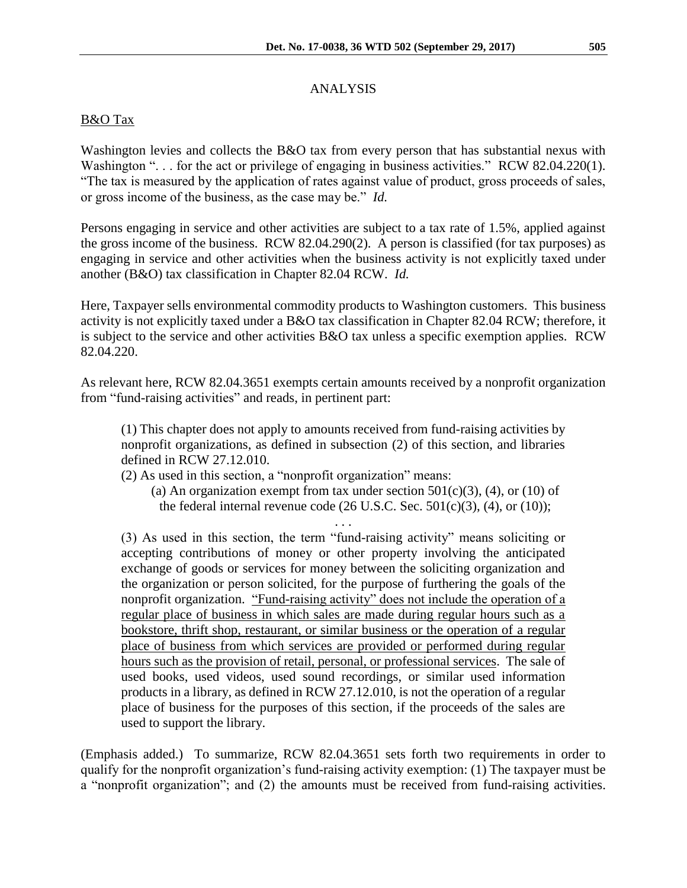# ANALYSIS

## B&O Tax

Washington levies and collects the B&O tax from every person that has substantial nexus with Washington "... for the act or privilege of engaging in business activities." RCW 82.04.220(1). "The tax is measured by the application of rates against value of product, gross proceeds of sales, or gross income of the business, as the case may be." *Id.*

Persons engaging in service and other activities are subject to a tax rate of 1.5%, applied against the gross income of the business. RCW 82.04.290(2). A person is classified (for tax purposes) as engaging in service and other activities when the business activity is not explicitly taxed under another (B&O) tax classification in Chapter 82.04 RCW. *Id.*

Here, Taxpayer sells environmental commodity products to Washington customers. This business activity is not explicitly taxed under a B&O tax classification in Chapter 82.04 RCW; therefore, it is subject to the service and other activities B&O tax unless a specific exemption applies. RCW 82.04.220.

As relevant here, RCW 82.04.3651 exempts certain amounts received by a nonprofit organization from "fund-raising activities" and reads, in pertinent part:

(1) This chapter does not apply to amounts received from fund-raising activities by nonprofit organizations, as defined in subsection (2) of this section, and libraries defined in RCW 27.12.010.

(2) As used in this section, a "nonprofit organization" means:

(a) An organization exempt from tax under section  $501(c)(3)$ , (4), or (10) of the federal internal revenue code  $(26 \text{ U.S.C. Sec. } 501 \text{ (c)}(3), (4), \text{ or } (10)$ ;

. . .

(3) As used in this section, the term "fund-raising activity" means soliciting or accepting contributions of money or other property involving the anticipated exchange of goods or services for money between the soliciting organization and the organization or person solicited, for the purpose of furthering the goals of the nonprofit organization. "Fund-raising activity" does not include the operation of a regular place of business in which sales are made during regular hours such as a bookstore, thrift shop, restaurant, or similar business or the operation of a regular place of business from which services are provided or performed during regular hours such as the provision of retail, personal, or professional services. The sale of used books, used videos, used sound recordings, or similar used information products in a library, as defined in RCW 27.12.010, is not the operation of a regular place of business for the purposes of this section, if the proceeds of the sales are used to support the library.

(Emphasis added.) To summarize, RCW 82.04.3651 sets forth two requirements in order to qualify for the nonprofit organization's fund-raising activity exemption: (1) The taxpayer must be a "nonprofit organization"; and (2) the amounts must be received from fund-raising activities.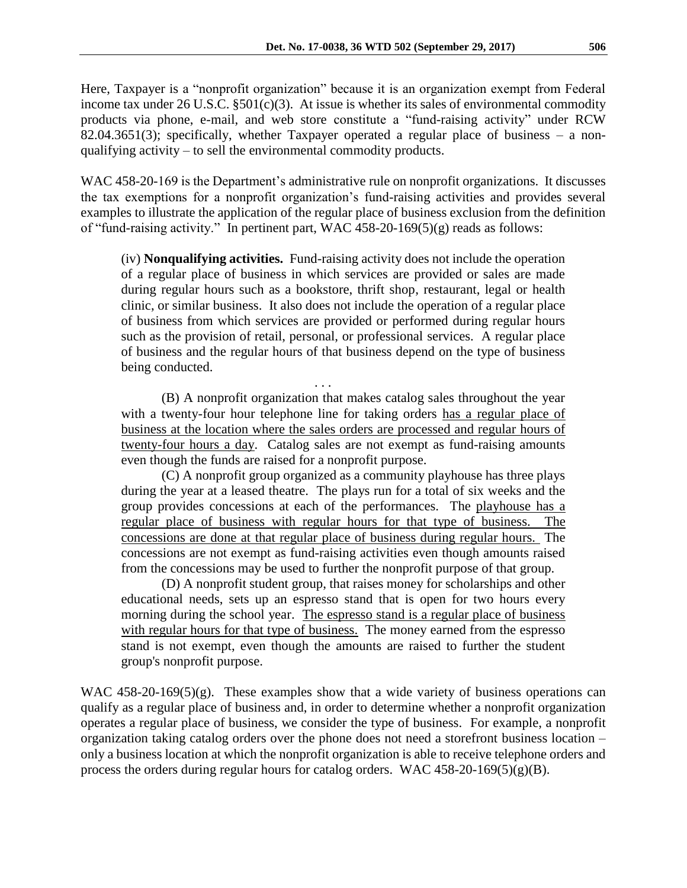Here, Taxpayer is a "nonprofit organization" because it is an organization exempt from Federal income tax under  $26$  U.S.C.  $\S501(c)(3)$ . At issue is whether its sales of environmental commodity products via phone, e-mail, and web store constitute a "fund-raising activity" under RCW 82.04.3651(3); specifically, whether Taxpayer operated a regular place of business – a nonqualifying activity – to sell the environmental commodity products.

WAC 458-20-169 is the Department's administrative rule on nonprofit organizations. It discusses the tax exemptions for a nonprofit organization's fund-raising activities and provides several examples to illustrate the application of the regular place of business exclusion from the definition of "fund-raising activity." In pertinent part, WAC 458-20-169(5)(g) reads as follows:

(iv) **Nonqualifying activities.** Fund-raising activity does not include the operation of a regular place of business in which services are provided or sales are made during regular hours such as a bookstore, thrift shop, restaurant, legal or health clinic, or similar business. It also does not include the operation of a regular place of business from which services are provided or performed during regular hours such as the provision of retail, personal, or professional services. A regular place of business and the regular hours of that business depend on the type of business being conducted.

. . . (B) A nonprofit organization that makes catalog sales throughout the year with a twenty-four hour telephone line for taking orders has a regular place of business at the location where the sales orders are processed and regular hours of twenty-four hours a day. Catalog sales are not exempt as fund-raising amounts even though the funds are raised for a nonprofit purpose.

(C) A nonprofit group organized as a community playhouse has three plays during the year at a leased theatre. The plays run for a total of six weeks and the group provides concessions at each of the performances. The playhouse has a regular place of business with regular hours for that type of business. The concessions are done at that regular place of business during regular hours. The concessions are not exempt as fund-raising activities even though amounts raised from the concessions may be used to further the nonprofit purpose of that group.

(D) A nonprofit student group, that raises money for scholarships and other educational needs, sets up an espresso stand that is open for two hours every morning during the school year. The espresso stand is a regular place of business with regular hours for that type of business. The money earned from the espresso stand is not exempt, even though the amounts are raised to further the student group's nonprofit purpose.

WAC 458-20-169(5)(g). These examples show that a wide variety of business operations can qualify as a regular place of business and, in order to determine whether a nonprofit organization operates a regular place of business, we consider the type of business. For example, a nonprofit organization taking catalog orders over the phone does not need a storefront business location – only a business location at which the nonprofit organization is able to receive telephone orders and process the orders during regular hours for catalog orders. WAC 458-20-169(5)(g)(B).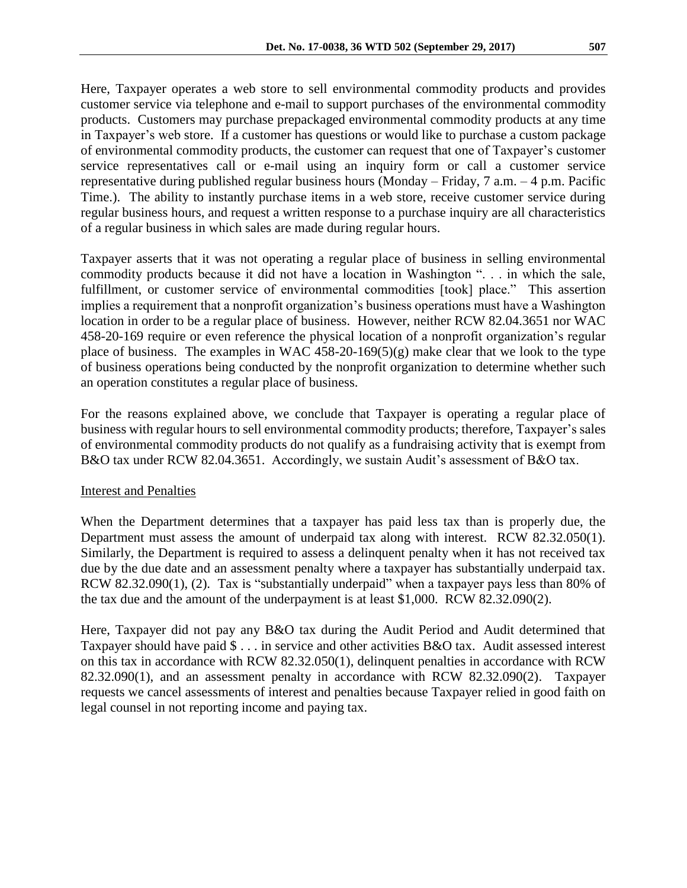Here, Taxpayer operates a web store to sell environmental commodity products and provides customer service via telephone and e-mail to support purchases of the environmental commodity products. Customers may purchase prepackaged environmental commodity products at any time in Taxpayer's web store. If a customer has questions or would like to purchase a custom package of environmental commodity products, the customer can request that one of Taxpayer's customer service representatives call or e-mail using an inquiry form or call a customer service representative during published regular business hours (Monday – Friday, 7 a.m. – 4 p.m. Pacific Time.). The ability to instantly purchase items in a web store, receive customer service during regular business hours, and request a written response to a purchase inquiry are all characteristics of a regular business in which sales are made during regular hours.

Taxpayer asserts that it was not operating a regular place of business in selling environmental commodity products because it did not have a location in Washington ". . . in which the sale, fulfillment, or customer service of environmental commodities [took] place." This assertion implies a requirement that a nonprofit organization's business operations must have a Washington location in order to be a regular place of business. However, neither RCW 82.04.3651 nor WAC 458-20-169 require or even reference the physical location of a nonprofit organization's regular place of business. The examples in WAC  $458-20-169(5)(g)$  make clear that we look to the type of business operations being conducted by the nonprofit organization to determine whether such an operation constitutes a regular place of business.

For the reasons explained above, we conclude that Taxpayer is operating a regular place of business with regular hours to sell environmental commodity products; therefore, Taxpayer's sales of environmental commodity products do not qualify as a fundraising activity that is exempt from B&O tax under RCW 82.04.3651. Accordingly, we sustain Audit's assessment of B&O tax.

#### Interest and Penalties

When the Department determines that a taxpayer has paid less tax than is properly due, the Department must assess the amount of underpaid tax along with interest. RCW 82.32.050(1). Similarly, the Department is required to assess a delinquent penalty when it has not received tax due by the due date and an assessment penalty where a taxpayer has substantially underpaid tax. RCW 82.32.090(1), (2). Tax is "substantially underpaid" when a taxpayer pays less than 80% of the tax due and the amount of the underpayment is at least \$1,000. RCW 82.32.090(2).

Here, Taxpayer did not pay any B&O tax during the Audit Period and Audit determined that Taxpayer should have paid \$ . . . in service and other activities B&O tax. Audit assessed interest on this tax in accordance with RCW 82.32.050(1), delinquent penalties in accordance with RCW 82.32.090(1), and an assessment penalty in accordance with RCW 82.32.090(2). Taxpayer requests we cancel assessments of interest and penalties because Taxpayer relied in good faith on legal counsel in not reporting income and paying tax.